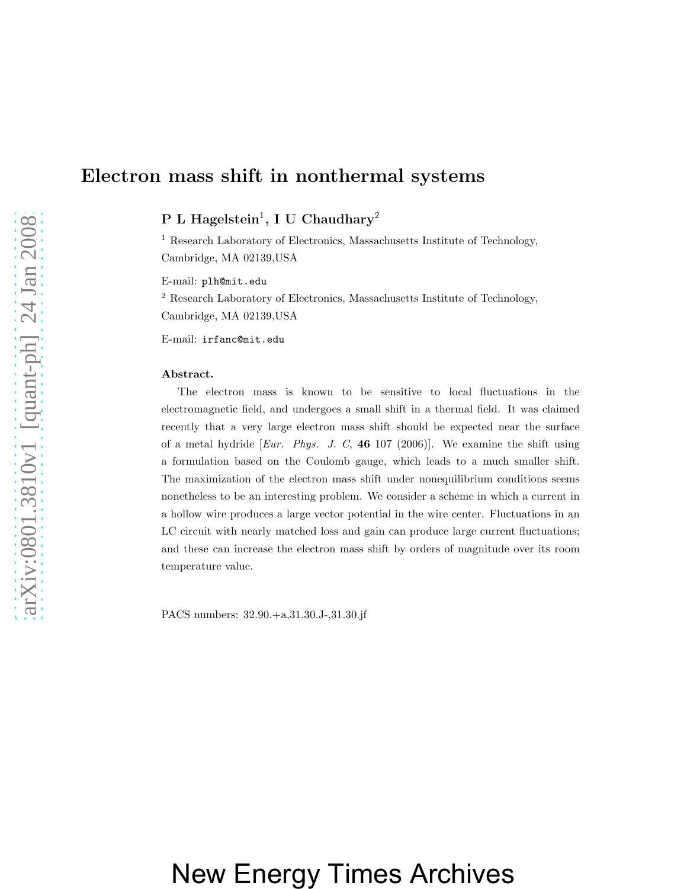### Electron mass shift in nonthermal systems

 ${\rm P\; L\; Hage}$ lstein $^1,$  I U Chaudhary $^2$ 

<sup>1</sup> Research Laboratory of Electronics, Massachusetts Institute of Technology, Cambridge, MA 02139,USA

E-mail: plh@mit.edu

<sup>2</sup> Research Laboratory of Electronics, Massachusetts Institute of Technology, Cambridge, MA 02139,USA

E-mail: irfanc@mit.edu

#### Abstract.

The electron mass is known to be sensitive to local fluctuations in the electromagnetic field, and undergoes a small shift in a thermal field. It was claimed recently that a very large electron mass shift should be expected near the surface of a metal hydride [*Eur. Phys. J. C*, 46 107 (2006)]. We examine the shift using a formulation based on the Coulomb gauge, which leads to a much smaller shift. The maximization of the electron mass shift under nonequilibrium conditions seems nonetheless to be an interesting problem. We consider a scheme in which a current in a hollow wire produces a large vector potential in the wire center. Fluctuations in an LC circuit with nearly matched loss and gain can produce large current fluctuations; and these can increase the electron mass shift by orders of magnitude over its room temperature value.

PACS numbers: 32.90.+a,31.30.J-,31.30.jf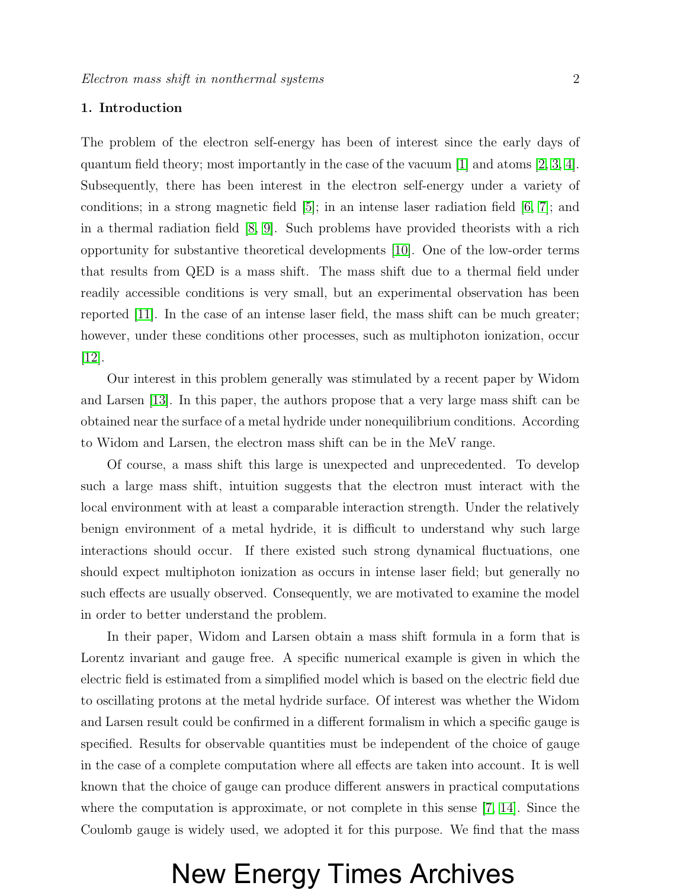#### 1. Introduction

The problem of the electron self-energy has been of interest since the early days of quantum field theory; most importantly in the case of the vacuum  $|1|$  and atoms  $|2, 3, 4|$  $|2, 3, 4|$  $|2, 3, 4|$ . Subsequently, there has been interest in the electron self-energy under a variety of conditions; in a strong magnetic field [\[5\]](#page-22-4); in an intense laser radiation field [\[6,](#page-22-5) [7\]](#page-22-6); and in a thermal radiation field [\[8,](#page-22-7) [9\]](#page-22-8). Such problems have provided theorists with a rich opportunity for substantive theoretical developments [\[10\]](#page-22-9). One of the low-order terms that results from QED is a mass shift. The mass shift due to a thermal field under readily accessible conditions is very small, but an experimental observation has been reported [\[11\]](#page-22-10). In the case of an intense laser field, the mass shift can be much greater; however, under these conditions other processes, such as multiphoton ionization, occur [\[12\]](#page-22-11).

Our interest in this problem generally was stimulated by a recent paper by Widom and Larsen [\[13\]](#page-22-12). In this paper, the authors propose that a very large mass shift can be obtained near the surface of a metal hydride under nonequilibrium conditions. According to Widom and Larsen, the electron mass shift can be in the MeV range.

Of course, a mass shift this large is unexpected and unprecedented. To develop such a large mass shift, intuition suggests that the electron must interact with the local environment with at least a comparable interaction strength. Under the relatively benign environment of a metal hydride, it is difficult to understand why such large interactions should occur. If there existed such strong dynamical fluctuations, one should expect multiphoton ionization as occurs in intense laser field; but generally no such effects are usually observed. Consequently, we are motivated to examine the model in order to better understand the problem.

In their paper, Widom and Larsen obtain a mass shift formula in a form that is Lorentz invariant and gauge free. A specific numerical example is given in which the electric field is estimated from a simplified model which is based on the electric field due to oscillating protons at the metal hydride surface. Of interest was whether the Widom and Larsen result could be confirmed in a different formalism in which a specific gauge is specified. Results for observable quantities must be independent of the choice of gauge in the case of a complete computation where all effects are taken into account. It is well known that the choice of gauge can produce different answers in practical computations where the computation is approximate, or not complete in this sense [\[7,](#page-22-6) [14\]](#page-22-13). Since the Coulomb gauge is widely used, we adopted it for this purpose. We find that the mass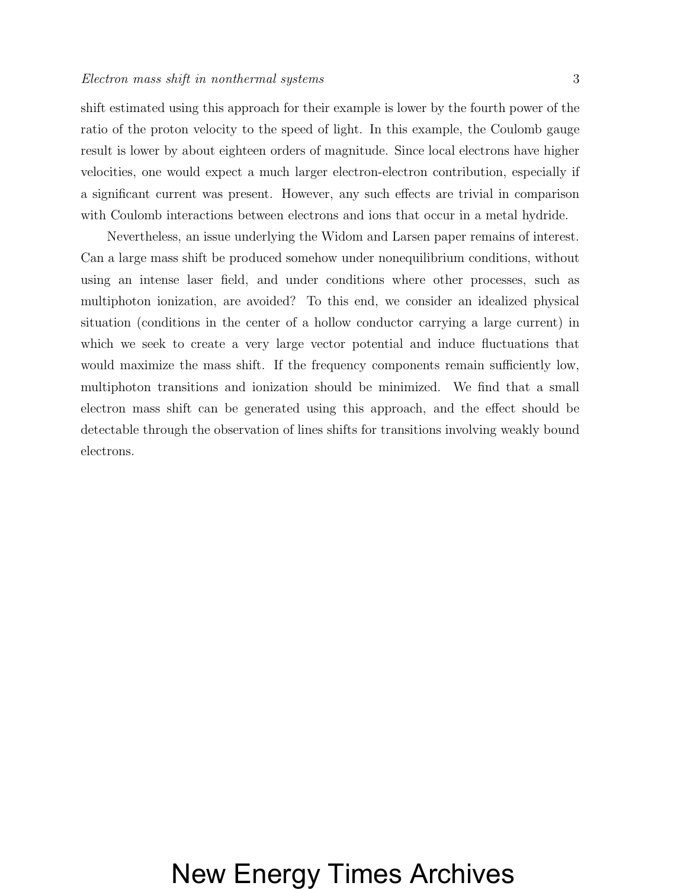#### Electron mass shift in nonthermal systems 3

shift estimated using this approach for their example is lower by the fourth power of the ratio of the proton velocity to the speed of light. In this example, the Coulomb gauge result is lower by about eighteen orders of magnitude. Since local electrons have higher velocities, one would expect a much larger electron-electron contribution, especially if a significant current was present. However, any such effects are trivial in comparison with Coulomb interactions between electrons and ions that occur in a metal hydride.

Nevertheless, an issue underlying the Widom and Larsen paper remains of interest. Can a large mass shift be produced somehow under nonequilibrium conditions, without using an intense laser field, and under conditions where other processes, such as multiphoton ionization, are avoided? To this end, we consider an idealized physical situation (conditions in the center of a hollow conductor carrying a large current) in which we seek to create a very large vector potential and induce fluctuations that would maximize the mass shift. If the frequency components remain sufficiently low, multiphoton transitions and ionization should be minimized. We find that a small electron mass shift can be generated using this approach, and the effect should be detectable through the observation of lines shifts for transitions involving weakly bound electrons.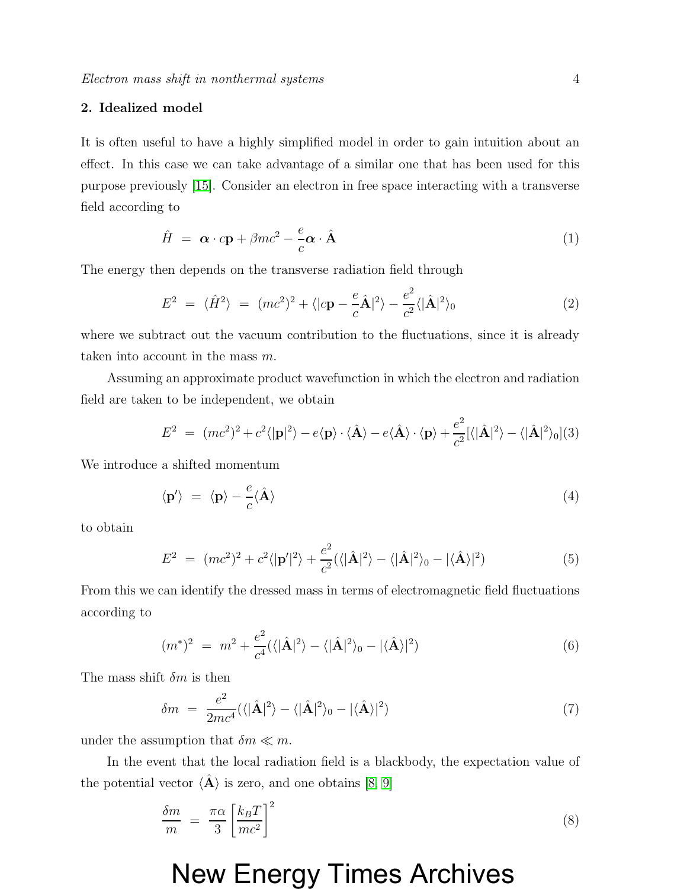#### 2. Idealized model

It is often useful to have a highly simplified model in order to gain intuition about an effect. In this case we can take advantage of a similar one that has been used for this purpose previously [\[15\]](#page-22-14). Consider an electron in free space interacting with a transverse field according to

$$
\hat{H} = \boldsymbol{\alpha} \cdot c\mathbf{p} + \beta mc^2 - \frac{e}{c}\boldsymbol{\alpha} \cdot \hat{\mathbf{A}} \tag{1}
$$

The energy then depends on the transverse radiation field through

$$
E^2 = \langle \hat{H}^2 \rangle = (mc^2)^2 + \langle |cp - \frac{e}{c}\hat{A}|^2 \rangle - \frac{e^2}{c^2} \langle |\hat{A}|^2 \rangle_0 \tag{2}
$$

where we subtract out the vacuum contribution to the fluctuations, since it is already taken into account in the mass m.

Assuming an approximate product wavefunction in which the electron and radiation field are taken to be independent, we obtain

$$
E^{2} = (mc^{2})^{2} + c^{2} \langle |\mathbf{p}|^{2} \rangle - e \langle \mathbf{p} \rangle \cdot \langle \hat{\mathbf{A}} \rangle - e \langle \hat{\mathbf{A}} \rangle \cdot \langle \mathbf{p} \rangle + \frac{e^{2}}{c^{2}} [\langle |\hat{\mathbf{A}}|^{2} \rangle - \langle |\hat{\mathbf{A}}|^{2} \rangle_{0}] (3)
$$

We introduce a shifted momentum

$$
\langle \mathbf{p}' \rangle = \langle \mathbf{p} \rangle - \frac{e}{c} \langle \hat{\mathbf{A}} \rangle \tag{4}
$$

to obtain

$$
E^{2} = (mc^{2})^{2} + c^{2} \langle |\mathbf{p}'|^{2} \rangle + \frac{e^{2}}{c^{2}} (\langle |\hat{\mathbf{A}}|^{2} \rangle - \langle |\hat{\mathbf{A}}|^{2} \rangle_{0} - |\langle \hat{\mathbf{A}} \rangle|^{2})
$$
(5)

From this we can identify the dressed mass in terms of electromagnetic field fluctuations according to

$$
(m^*)^2 = m^2 + \frac{e^2}{c^4} (\langle |\hat{\mathbf{A}}|^2 \rangle - \langle |\hat{\mathbf{A}}|^2 \rangle_0 - |\langle \hat{\mathbf{A}} \rangle|^2)
$$
(6)

The mass shift  $\delta m$  is then

<span id="page-3-0"></span>
$$
\delta m = \frac{e^2}{2mc^4} (\langle |\hat{\mathbf{A}}|^2 \rangle - \langle |\hat{\mathbf{A}}|^2 \rangle_0 - |\langle \hat{\mathbf{A}} \rangle|^2)
$$
\n(7)

under the assumption that  $\delta m \ll m$ .

In the event that the local radiation field is a blackbody, the expectation value of the potential vector  $\langle \hat{A} \rangle$  is zero, and one obtains [\[8,](#page-22-7) [9\]](#page-22-8)

$$
\frac{\delta m}{m} = \frac{\pi \alpha}{3} \left[ \frac{k_B T}{mc^2} \right]^2 \tag{8}
$$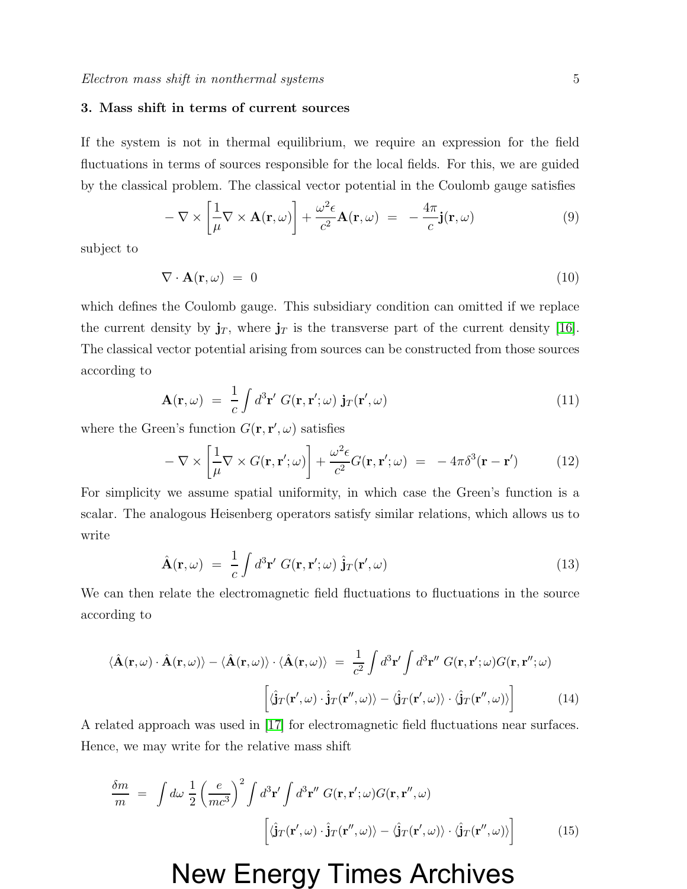#### 3. Mass shift in terms of current sources

If the system is not in thermal equilibrium, we require an expression for the field fluctuations in terms of sources responsible for the local fields. For this, we are guided by the classical problem. The classical vector potential in the Coulomb gauge satisfies

$$
-\nabla \times \left[\frac{1}{\mu}\nabla \times \mathbf{A}(\mathbf{r},\omega)\right] + \frac{\omega^2 \epsilon}{c^2} \mathbf{A}(\mathbf{r},\omega) = -\frac{4\pi}{c}\mathbf{j}(\mathbf{r},\omega)
$$
(9)

subject to

$$
\nabla \cdot \mathbf{A}(\mathbf{r}, \omega) = 0 \tag{10}
$$

which defines the Coulomb gauge. This subsidiary condition can omitted if we replace the current density by  $\mathbf{j}_T$ , where  $\mathbf{j}_T$  is the transverse part of the current density [\[16\]](#page-22-15). The classical vector potential arising from sources can be constructed from those sources according to

$$
\mathbf{A}(\mathbf{r},\omega) = \frac{1}{c} \int d^3 \mathbf{r}' \ G(\mathbf{r},\mathbf{r}';\omega) \ \mathbf{j}_T(\mathbf{r}',\omega) \tag{11}
$$

where the Green's function  $G(\mathbf{r}, \mathbf{r}', \omega)$  satisfies

$$
-\nabla \times \left[\frac{1}{\mu}\nabla \times G(\mathbf{r}, \mathbf{r}'; \omega)\right] + \frac{\omega^2 \epsilon}{c^2} G(\mathbf{r}, \mathbf{r}'; \omega) = -4\pi \delta^3(\mathbf{r} - \mathbf{r}')
$$
(12)

For simplicity we assume spatial uniformity, in which case the Green's function is a scalar. The analogous Heisenberg operators satisfy similar relations, which allows us to write

$$
\hat{\mathbf{A}}(\mathbf{r},\omega) = \frac{1}{c} \int d^3 \mathbf{r}' \ G(\mathbf{r},\mathbf{r}';\omega) \ \hat{\mathbf{j}}_T(\mathbf{r}',\omega) \tag{13}
$$

We can then relate the electromagnetic field fluctuations to fluctuations in the source according to

$$
\langle \hat{\mathbf{A}}(\mathbf{r},\omega) \cdot \hat{\mathbf{A}}(\mathbf{r},\omega) \rangle - \langle \hat{\mathbf{A}}(\mathbf{r},\omega) \rangle \cdot \langle \hat{\mathbf{A}}(\mathbf{r},\omega) \rangle = \frac{1}{c^2} \int d^3 \mathbf{r}' \int d^3 \mathbf{r}'' G(\mathbf{r},\mathbf{r}';\omega) G(\mathbf{r},\mathbf{r}'';\omega)
$$

$$
\left[ \langle \hat{\mathbf{j}}_T(\mathbf{r}',\omega) \cdot \hat{\mathbf{j}}_T(\mathbf{r}'',\omega) \rangle - \langle \hat{\mathbf{j}}_T(\mathbf{r}',\omega) \rangle \cdot \langle \hat{\mathbf{j}}_T(\mathbf{r}'',\omega) \rangle \right] \tag{14}
$$

A related approach was used in [\[17\]](#page-22-16) for electromagnetic field fluctuations near surfaces. Hence, we may write for the relative mass shift

$$
\frac{\delta m}{m} = \int d\omega \frac{1}{2} \left(\frac{e}{mc^3}\right)^2 \int d^3 \mathbf{r}' \int d^3 \mathbf{r}'' G(\mathbf{r}, \mathbf{r}'; \omega) G(\mathbf{r}, \mathbf{r}'', \omega) \n\left[ \langle \hat{\mathbf{j}}_T(\mathbf{r}', \omega) \cdot \hat{\mathbf{j}}_T(\mathbf{r}'', \omega) \rangle - \langle \hat{\mathbf{j}}_T(\mathbf{r}', \omega) \rangle \cdot \langle \hat{\mathbf{j}}_T(\mathbf{r}'', \omega) \rangle \right]
$$
(15)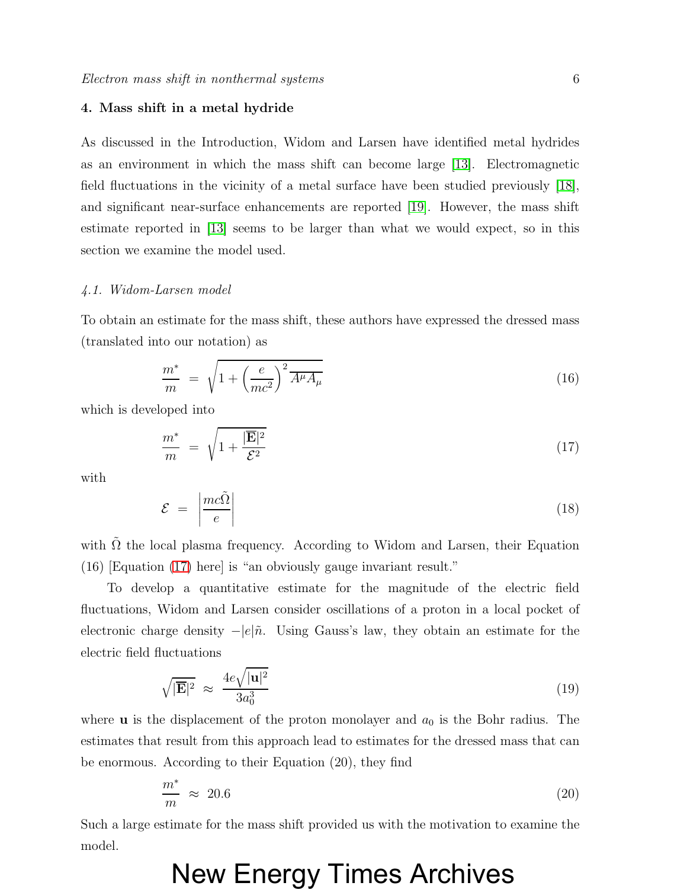#### 4. Mass shift in a metal hydride

As discussed in the Introduction, Widom and Larsen have identified metal hydrides as an environment in which the mass shift can become large [\[13\]](#page-22-12). Electromagnetic field fluctuations in the vicinity of a metal surface have been studied previously [\[18\]](#page-22-17), and significant near-surface enhancements are reported [\[19\]](#page-22-18). However, the mass shift estimate reported in [\[13\]](#page-22-12) seems to be larger than what we would expect, so in this section we examine the model used.

#### 4.1. Widom-Larsen model

To obtain an estimate for the mass shift, these authors have expressed the dressed mass (translated into our notation) as

$$
\frac{m^*}{m} = \sqrt{1 + \left(\frac{e}{mc^2}\right)^2 \overline{A^\mu A_\mu}}
$$
\n(16)

which is developed into

<span id="page-5-0"></span>
$$
\frac{m^*}{m} = \sqrt{1 + \frac{|\overline{\mathbf{E}}|^2}{\mathcal{E}^2}}
$$
\n(17)

with

$$
\mathcal{E} = \left| \frac{mc\tilde{\Omega}}{e} \right| \tag{18}
$$

with  $\Omega$  the local plasma frequency. According to Widom and Larsen, their Equation (16) [Equation [\(17\)](#page-5-0) here] is "an obviously gauge invariant result."

To develop a quantitative estimate for the magnitude of the electric field fluctuations, Widom and Larsen consider oscillations of a proton in a local pocket of electronic charge density  $-|e|\tilde{n}$ . Using Gauss's law, they obtain an estimate for the electric field fluctuations

$$
\sqrt{|\mathbf{E}|^2} \approx \frac{4e\sqrt{|\mathbf{u}|^2}}{3a_0^3} \tag{19}
$$

where **u** is the displacement of the proton monolayer and  $a_0$  is the Bohr radius. The estimates that result from this approach lead to estimates for the dressed mass that can be enormous. According to their Equation (20), they find

$$
\frac{m^*}{m} \approx 20.6\tag{20}
$$

Such a large estimate for the mass shift provided us with the motivation to examine the model.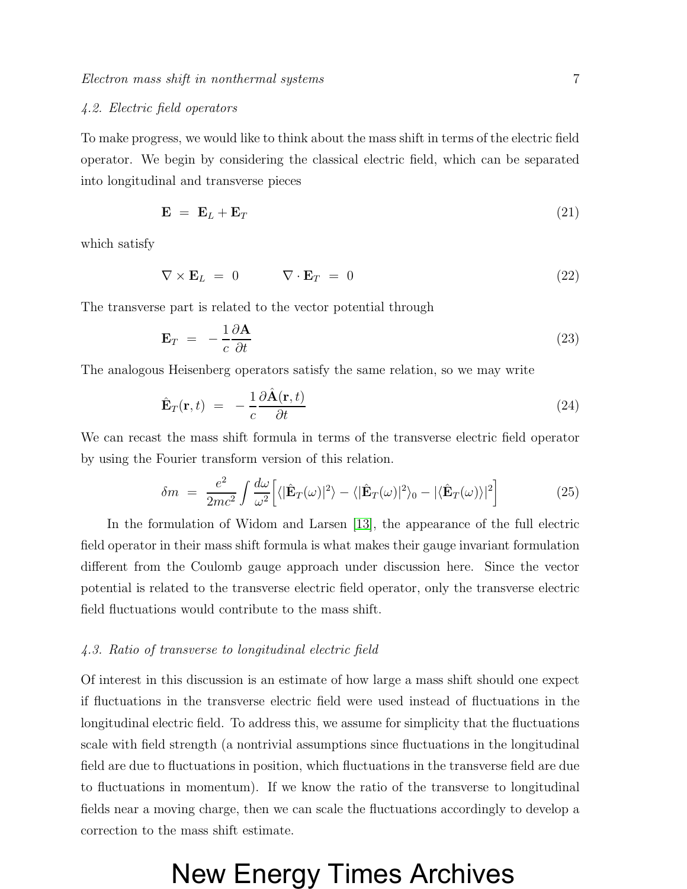#### 4.2. Electric field operators

To make progress, we would like to think about the mass shift in terms of the electric field operator. We begin by considering the classical electric field, which can be separated into longitudinal and transverse pieces

$$
\mathbf{E} = \mathbf{E}_L + \mathbf{E}_T \tag{21}
$$

which satisfy

$$
\nabla \times \mathbf{E}_L = 0 \qquad \nabla \cdot \mathbf{E}_T = 0 \tag{22}
$$

The transverse part is related to the vector potential through

$$
\mathbf{E}_T = -\frac{1}{c} \frac{\partial \mathbf{A}}{\partial t} \tag{23}
$$

The analogous Heisenberg operators satisfy the same relation, so we may write

$$
\hat{\mathbf{E}}_T(\mathbf{r},t) = -\frac{1}{c} \frac{\partial \hat{\mathbf{A}}(\mathbf{r},t)}{\partial t}
$$
\n(24)

We can recast the mass shift formula in terms of the transverse electric field operator by using the Fourier transform version of this relation.

$$
\delta m = \frac{e^2}{2mc^2} \int \frac{d\omega}{\omega^2} \left[ \langle |\hat{\mathbf{E}}_T(\omega)|^2 \rangle - \langle |\hat{\mathbf{E}}_T(\omega)|^2 \rangle_0 - |\langle \hat{\mathbf{E}}_T(\omega) \rangle|^2 \right] \tag{25}
$$

In the formulation of Widom and Larsen [\[13\]](#page-22-12), the appearance of the full electric field operator in their mass shift formula is what makes their gauge invariant formulation different from the Coulomb gauge approach under discussion here. Since the vector potential is related to the transverse electric field operator, only the transverse electric field fluctuations would contribute to the mass shift.

#### 4.3. Ratio of transverse to longitudinal electric field

Of interest in this discussion is an estimate of how large a mass shift should one expect if fluctuations in the transverse electric field were used instead of fluctuations in the longitudinal electric field. To address this, we assume for simplicity that the fluctuations scale with field strength (a nontrivial assumptions since fluctuations in the longitudinal field are due to fluctuations in position, which fluctuations in the transverse field are due to fluctuations in momentum). If we know the ratio of the transverse to longitudinal fields near a moving charge, then we can scale the fluctuations accordingly to develop a correction to the mass shift estimate.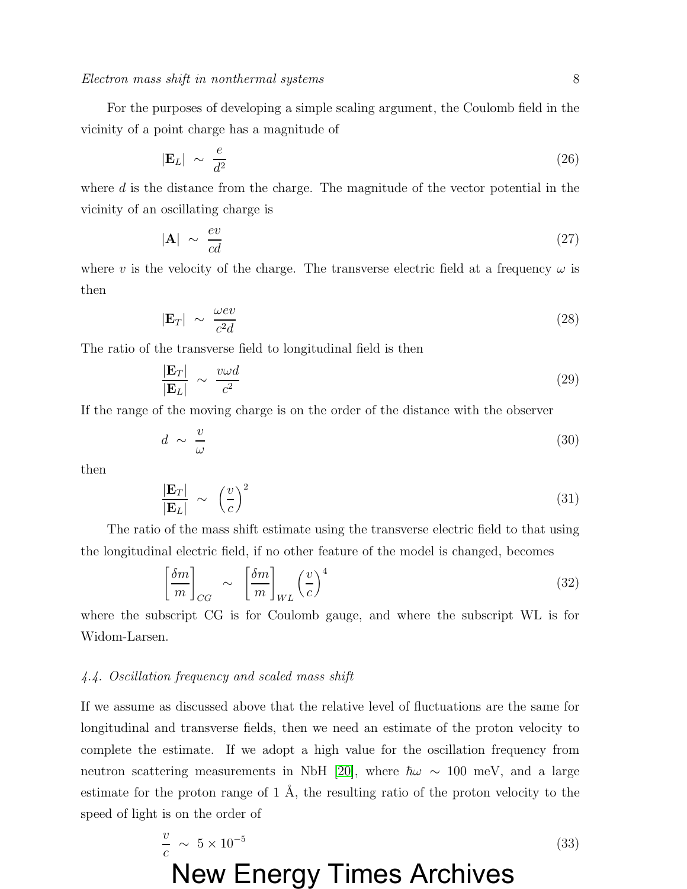For the purposes of developing a simple scaling argument, the Coulomb field in the vicinity of a point charge has a magnitude of

$$
|\mathbf{E}_L| \sim \frac{e}{d^2} \tag{26}
$$

where d is the distance from the charge. The magnitude of the vector potential in the vicinity of an oscillating charge is

$$
|\mathbf{A}| \sim \frac{ev}{cd} \tag{27}
$$

where v is the velocity of the charge. The transverse electric field at a frequency  $\omega$  is then

$$
|\mathbf{E}_T| \sim \frac{\omega ev}{c^2 d} \tag{28}
$$

The ratio of the transverse field to longitudinal field is then

$$
\frac{|\mathbf{E}_T|}{|\mathbf{E}_L|} \sim \frac{v\omega d}{c^2} \tag{29}
$$

If the range of the moving charge is on the order of the distance with the observer

$$
d \sim \frac{v}{\omega} \tag{30}
$$

then

$$
\frac{|\mathbf{E}_T|}{|\mathbf{E}_L|} \sim \left(\frac{v}{c}\right)^2 \tag{31}
$$

The ratio of the mass shift estimate using the transverse electric field to that using the longitudinal electric field, if no other feature of the model is changed, becomes

$$
\left[\frac{\delta m}{m}\right]_{CG} \sim \left[\frac{\delta m}{m}\right]_{WL} \left(\frac{v}{c}\right)^4 \tag{32}
$$

where the subscript CG is for Coulomb gauge, and where the subscript WL is for Widom-Larsen.

#### 4.4. Oscillation frequency and scaled mass shift

If we assume as discussed above that the relative level of fluctuations are the same for longitudinal and transverse fields, then we need an estimate of the proton velocity to complete the estimate. If we adopt a high value for the oscillation frequency from neutron scattering measurements in NbH [\[20\]](#page-22-19), where  $\hbar\omega \sim 100$  meV, and a large estimate for the proton range of  $1 \text{ Å}$ , the resulting ratio of the proton velocity to the speed of light is on the order of

$$
\frac{v}{c} \sim 5 \times 10^{-5}
$$
\nNew Energy Times Archives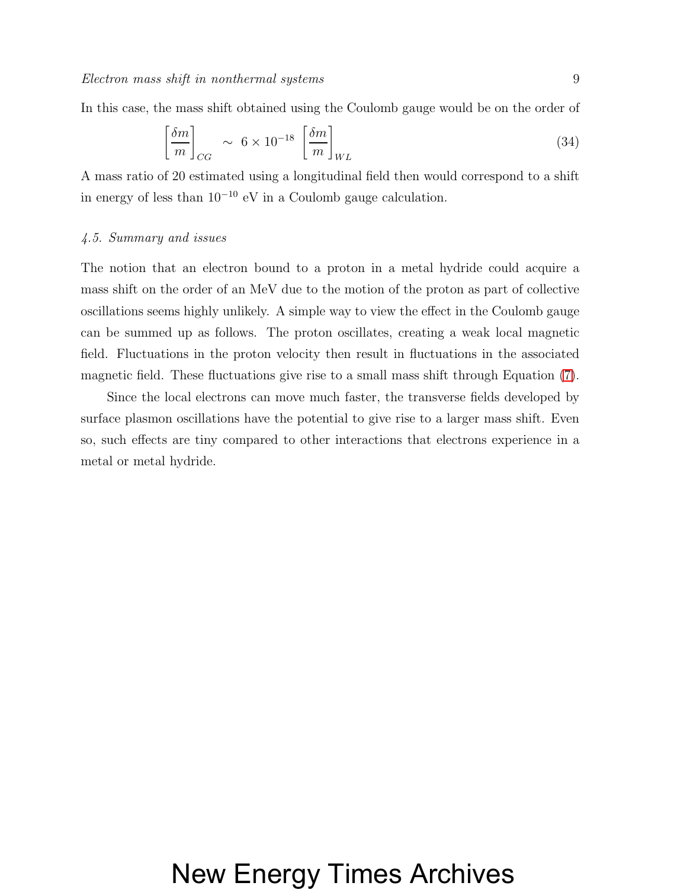In this case, the mass shift obtained using the Coulomb gauge would be on the order of

$$
\left[\frac{\delta m}{m}\right]_{CG} \sim 6 \times 10^{-18} \left[\frac{\delta m}{m}\right]_{WL} \tag{34}
$$

A mass ratio of 20 estimated using a longitudinal field then would correspond to a shift in energy of less than  $10^{-10}$  eV in a Coulomb gauge calculation.

#### 4.5. Summary and issues

The notion that an electron bound to a proton in a metal hydride could acquire a mass shift on the order of an MeV due to the motion of the proton as part of collective oscillations seems highly unlikely. A simple way to view the effect in the Coulomb gauge can be summed up as follows. The proton oscillates, creating a weak local magnetic field. Fluctuations in the proton velocity then result in fluctuations in the associated magnetic field. These fluctuations give rise to a small mass shift through Equation [\(7\)](#page-3-0).

Since the local electrons can move much faster, the transverse fields developed by surface plasmon oscillations have the potential to give rise to a larger mass shift. Even so, such effects are tiny compared to other interactions that electrons experience in a metal or metal hydride.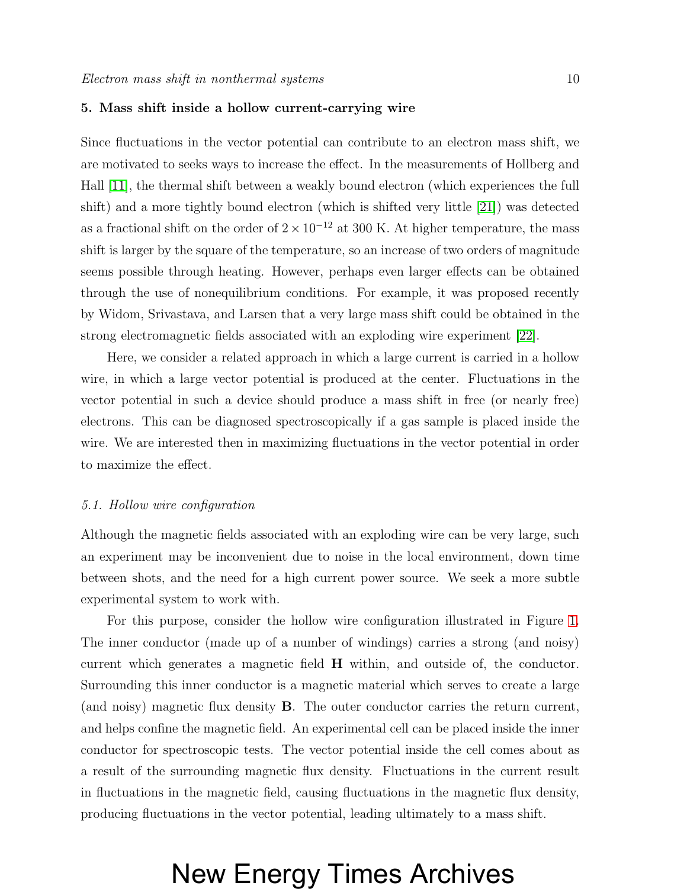#### 5. Mass shift inside a hollow current-carrying wire

Since fluctuations in the vector potential can contribute to an electron mass shift, we are motivated to seeks ways to increase the effect. In the measurements of Hollberg and Hall [\[11\]](#page-22-10), the thermal shift between a weakly bound electron (which experiences the full shift) and a more tightly bound electron (which is shifted very little [\[21\]](#page-22-20)) was detected as a fractional shift on the order of  $2 \times 10^{-12}$  at 300 K. At higher temperature, the mass shift is larger by the square of the temperature, so an increase of two orders of magnitude seems possible through heating. However, perhaps even larger effects can be obtained through the use of nonequilibrium conditions. For example, it was proposed recently by Widom, Srivastava, and Larsen that a very large mass shift could be obtained in the strong electromagnetic fields associated with an exploding wire experiment [\[22\]](#page-22-21).

Here, we consider a related approach in which a large current is carried in a hollow wire, in which a large vector potential is produced at the center. Fluctuations in the vector potential in such a device should produce a mass shift in free (or nearly free) electrons. This can be diagnosed spectroscopically if a gas sample is placed inside the wire. We are interested then in maximizing fluctuations in the vector potential in order to maximize the effect.

#### 5.1. Hollow wire configuration

Although the magnetic fields associated with an exploding wire can be very large, such an experiment may be inconvenient due to noise in the local environment, down time between shots, and the need for a high current power source. We seek a more subtle experimental system to work with.

For this purpose, consider the hollow wire configuration illustrated in Figure [1.](#page-10-0) The inner conductor (made up of a number of windings) carries a strong (and noisy) current which generates a magnetic field H within, and outside of, the conductor. Surrounding this inner conductor is a magnetic material which serves to create a large (and noisy) magnetic flux density B. The outer conductor carries the return current, and helps confine the magnetic field. An experimental cell can be placed inside the inner conductor for spectroscopic tests. The vector potential inside the cell comes about as a result of the surrounding magnetic flux density. Fluctuations in the current result in fluctuations in the magnetic field, causing fluctuations in the magnetic flux density, producing fluctuations in the vector potential, leading ultimately to a mass shift.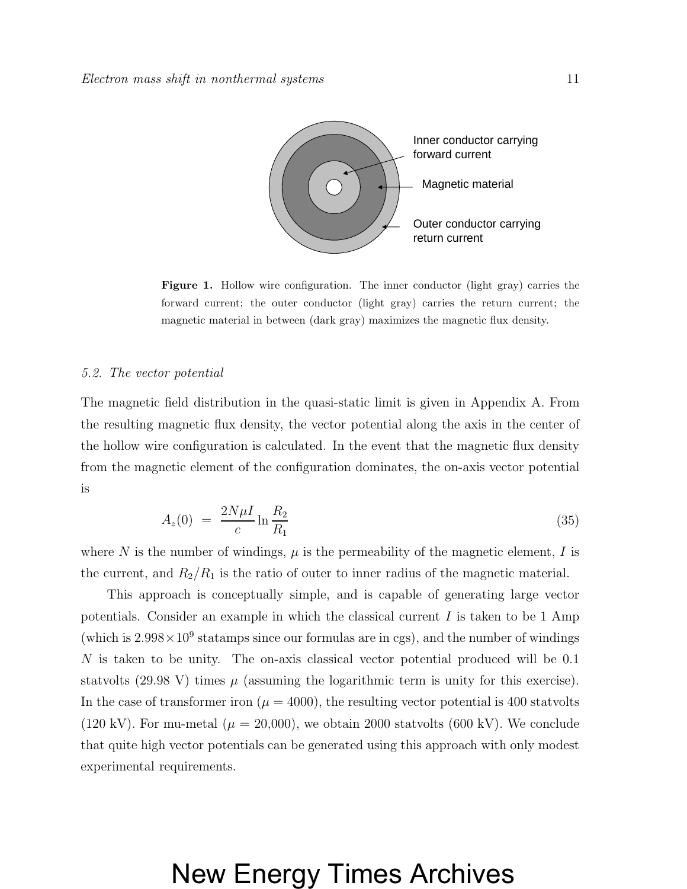

<span id="page-10-0"></span>Figure 1. Hollow wire configuration. The inner conductor (light gray) carries the forward current; the outer conductor (light gray) carries the return current; the magnetic material in between (dark gray) maximizes the magnetic flux density.

#### 5.2. The vector potential

The magnetic field distribution in the quasi-static limit is given in Appendix A. From the resulting magnetic flux density, the vector potential along the axis in the center of the hollow wire configuration is calculated. In the event that the magnetic flux density from the magnetic element of the configuration dominates, the on-axis vector potential is

$$
A_z(0) = \frac{2N\mu I}{c} \ln \frac{R_2}{R_1}
$$
\n(35)

where N is the number of windings,  $\mu$  is the permeability of the magnetic element, I is the current, and  $R_2/R_1$  is the ratio of outer to inner radius of the magnetic material.

This approach is conceptually simple, and is capable of generating large vector potentials. Consider an example in which the classical current  $I$  is taken to be 1 Amp (which is  $2.998 \times 10^9$  statamps since our formulas are in cgs), and the number of windings N is taken to be unity. The on-axis classical vector potential produced will be 0.1 statvolts (29.98 V) times  $\mu$  (assuming the logarithmic term is unity for this exercise). In the case of transformer iron ( $\mu = 4000$ ), the resulting vector potential is 400 statvolts (120 kV). For mu-metal ( $\mu = 20,000$ ), we obtain 2000 statvolts (600 kV). We conclude that quite high vector potentials can be generated using this approach with only modest experimental requirements.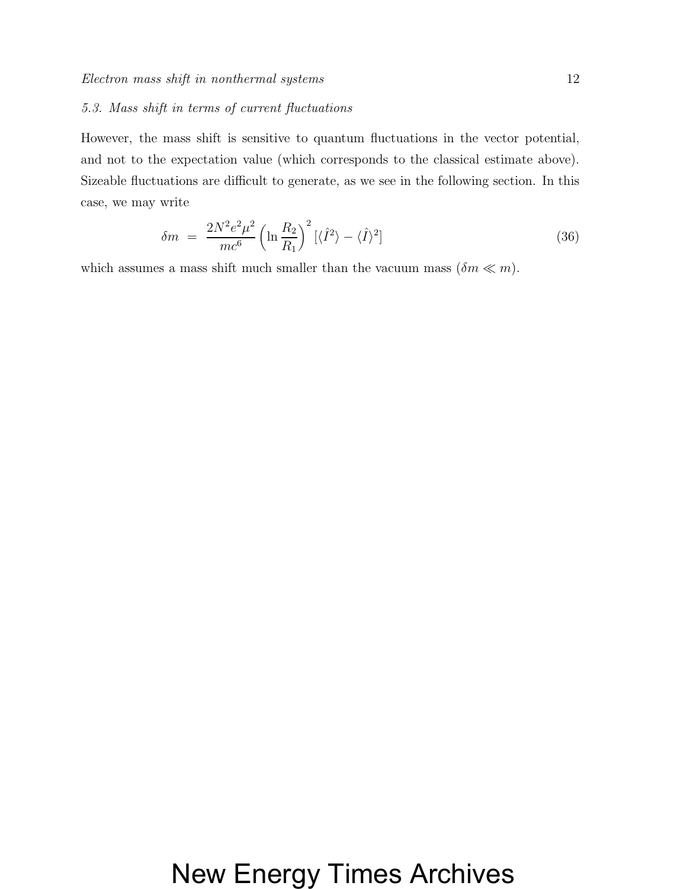#### 5.3. Mass shift in terms of current fluctuations

However, the mass shift is sensitive to quantum fluctuations in the vector potential, and not to the expectation value (which corresponds to the classical estimate above). Sizeable fluctuations are difficult to generate, as we see in the following section. In this case, we may write

$$
\delta m = \frac{2N^2 e^2 \mu^2}{mc^6} \left( \ln \frac{R_2}{R_1} \right)^2 \left[ \langle \hat{I}^2 \rangle - \langle \hat{I} \rangle^2 \right] \tag{36}
$$

which assumes a mass shift much smaller than the vacuum mass  $(\delta m \ll m)$ .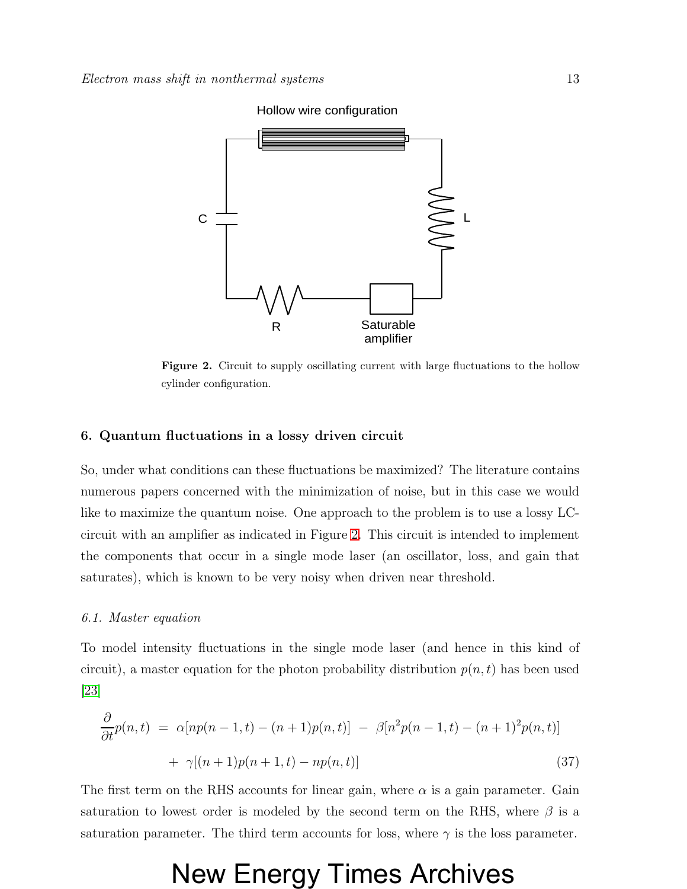

<span id="page-12-0"></span>Figure 2. Circuit to supply oscillating current with large fluctuations to the hollow cylinder configuration.

#### 6. Quantum fluctuations in a lossy driven circuit

So, under what conditions can these fluctuations be maximized? The literature contains numerous papers concerned with the minimization of noise, but in this case we would like to maximize the quantum noise. One approach to the problem is to use a lossy LCcircuit with an amplifier as indicated in Figure [2.](#page-12-0) This circuit is intended to implement the components that occur in a single mode laser (an oscillator, loss, and gain that saturates), which is known to be very noisy when driven near threshold.

#### 6.1. Master equation

To model intensity fluctuations in the single mode laser (and hence in this kind of circuit), a master equation for the photon probability distribution  $p(n, t)$  has been used [\[23\]](#page-22-22)

$$
\frac{\partial}{\partial t}p(n,t) = \alpha[np(n-1,t) - (n+1)p(n,t)] - \beta[n^2p(n-1,t) - (n+1)^2p(n,t)] \n+ \gamma[(n+1)p(n+1,t) - np(n,t)]
$$
\n(37)

The first term on the RHS accounts for linear gain, where  $\alpha$  is a gain parameter. Gain saturation to lowest order is modeled by the second term on the RHS, where  $\beta$  is a saturation parameter. The third term accounts for loss, where  $\gamma$  is the loss parameter.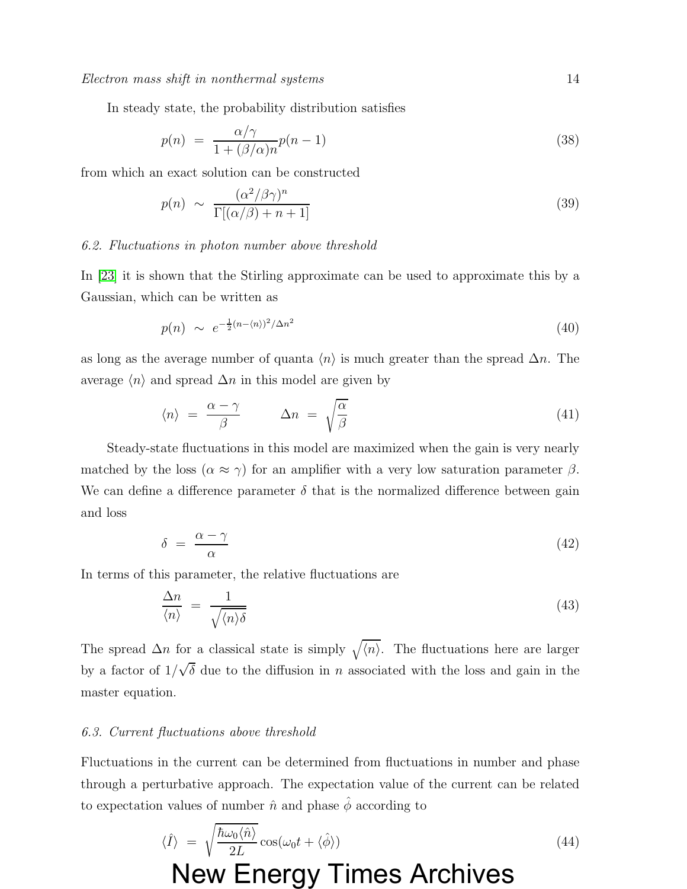In steady state, the probability distribution satisfies

$$
p(n) = \frac{\alpha/\gamma}{1 + (\beta/\alpha)n} p(n-1)
$$
\n(38)

from which an exact solution can be constructed

$$
p(n) \sim \frac{(\alpha^2/\beta\gamma)^n}{\Gamma[(\alpha/\beta)+n+1]}
$$
\n(39)

#### 6.2. Fluctuations in photon number above threshold

In [\[23\]](#page-22-22) it is shown that the Stirling approximate can be used to approximate this by a Gaussian, which can be written as

$$
p(n) \sim e^{-\frac{1}{2}(n - \langle n \rangle)^2 / \Delta n^2} \tag{40}
$$

as long as the average number of quanta  $\langle n \rangle$  is much greater than the spread  $\Delta n$ . The average  $\langle n \rangle$  and spread  $\Delta n$  in this model are given by

$$
\langle n \rangle = \frac{\alpha - \gamma}{\beta} \qquad \Delta n = \sqrt{\frac{\alpha}{\beta}} \tag{41}
$$

Steady-state fluctuations in this model are maximized when the gain is very nearly matched by the loss  $(\alpha \approx \gamma)$  for an amplifier with a very low saturation parameter  $\beta$ . We can define a difference parameter  $\delta$  that is the normalized difference between gain and loss

$$
\delta = \frac{\alpha - \gamma}{\alpha} \tag{42}
$$

In terms of this parameter, the relative fluctuations are

$$
\frac{\Delta n}{\langle n \rangle} = \frac{1}{\sqrt{\langle n \rangle \delta}} \tag{43}
$$

The spread  $\Delta n$  for a classical state is simply  $\sqrt{\langle n \rangle}$ . The fluctuations here are larger by a factor of  $1/\sqrt{\delta}$  due to the diffusion in n associated with the loss and gain in the master equation.

#### 6.3. Current fluctuations above threshold

Fluctuations in the current can be determined from fluctuations in number and phase through a perturbative approach. The expectation value of the current can be related to expectation values of number  $\hat{n}$  and phase  $\hat{\phi}$  according to

$$
\langle \hat{I} \rangle = \sqrt{\frac{\hbar \omega_0 \langle \hat{n} \rangle}{2L}} \cos(\omega_0 t + \langle \hat{\phi} \rangle)
$$
\nNew Energy Times Archives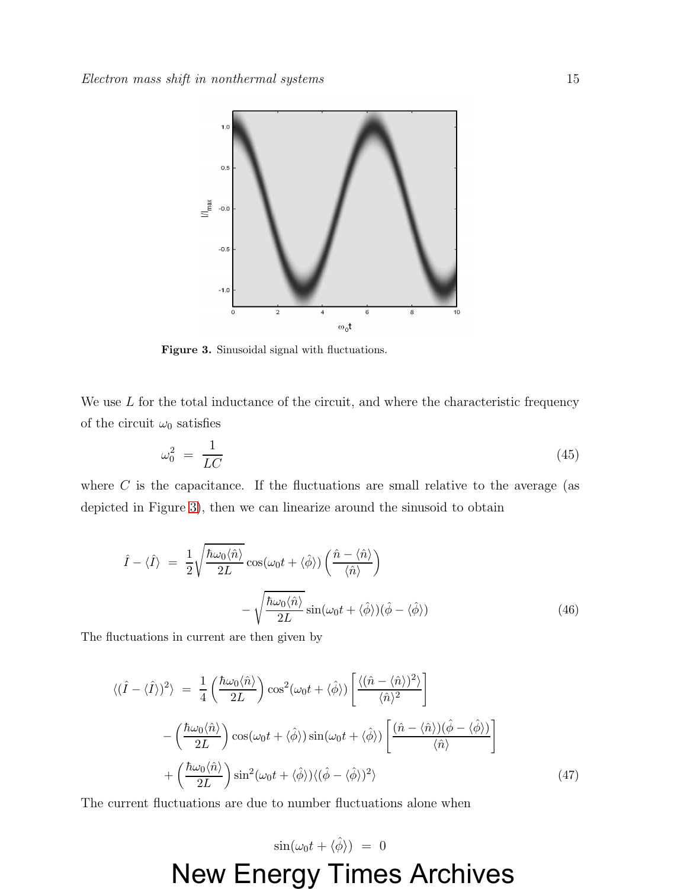

<span id="page-14-0"></span>Figure 3. Sinusoidal signal with fluctuations.

We use  $L$  for the total inductance of the circuit, and where the characteristic frequency of the circuit  $\omega_0$  satisfies

$$
\omega_0^2 = \frac{1}{LC} \tag{45}
$$

where  $C$  is the capacitance. If the fluctuations are small relative to the average (as depicted in Figure [3\)](#page-14-0), then we can linearize around the sinusoid to obtain

$$
\hat{I} - \langle \hat{I} \rangle = \frac{1}{2} \sqrt{\frac{\hbar \omega_0 \langle \hat{n} \rangle}{2L}} \cos(\omega_0 t + \langle \hat{\phi} \rangle) \left( \frac{\hat{n} - \langle \hat{n} \rangle}{\langle \hat{n} \rangle} \right) - \sqrt{\frac{\hbar \omega_0 \langle \hat{n} \rangle}{2L}} \sin(\omega_0 t + \langle \hat{\phi} \rangle) (\hat{\phi} - \langle \hat{\phi} \rangle)
$$
\n(46)

The fluctuations in current are then given by

$$
\langle (\hat{I} - \langle \hat{I} \rangle)^2 \rangle = \frac{1}{4} \left( \frac{\hbar \omega_0 \langle \hat{n} \rangle}{2L} \right) \cos^2(\omega_0 t + \langle \hat{\phi} \rangle) \left[ \frac{\langle (\hat{n} - \langle \hat{n} \rangle)^2 \rangle}{\langle \hat{n} \rangle^2} \right]
$$

$$
- \left( \frac{\hbar \omega_0 \langle \hat{n} \rangle}{2L} \right) \cos(\omega_0 t + \langle \hat{\phi} \rangle) \sin(\omega_0 t + \langle \hat{\phi} \rangle) \left[ \frac{(\hat{n} - \langle \hat{n} \rangle)(\hat{\phi} - \langle \hat{\phi} \rangle)}{\langle \hat{n} \rangle} \right]
$$

$$
+ \left( \frac{\hbar \omega_0 \langle \hat{n} \rangle}{2L} \right) \sin^2(\omega_0 t + \langle \hat{\phi} \rangle) \langle (\hat{\phi} - \langle \hat{\phi} \rangle)^2 \rangle \tag{47}
$$

The current fluctuations are due to number fluctuations alone when

$$
\sin(\omega_0 t + \langle \hat{\phi} \rangle) = 0
$$
  
New Energy Times Archives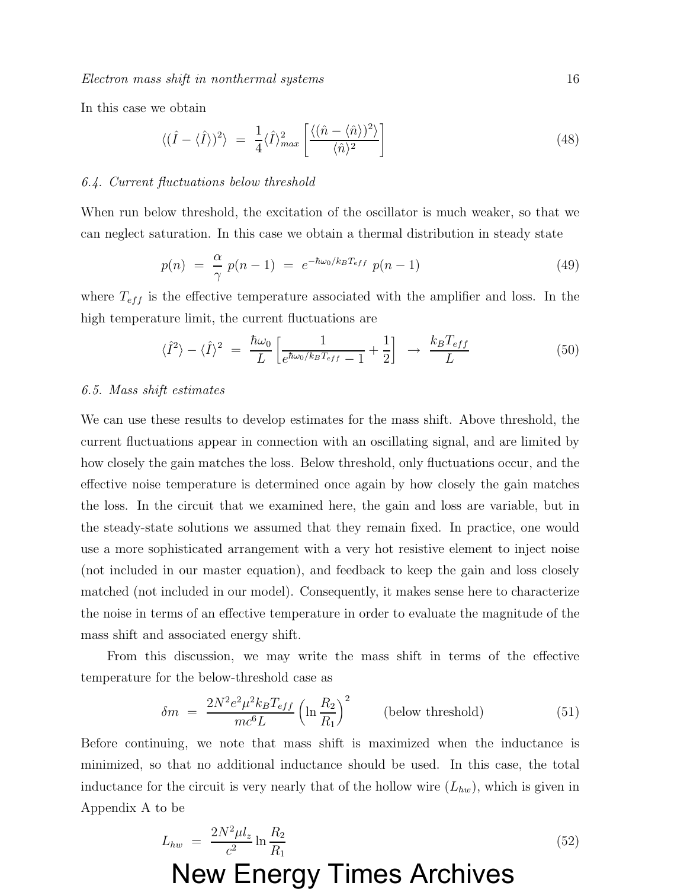In this case we obtain

$$
\langle (\hat{I} - \langle \hat{I} \rangle)^2 \rangle = \frac{1}{4} \langle \hat{I} \rangle_{max}^2 \left[ \frac{\langle (\hat{n} - \langle \hat{n} \rangle)^2 \rangle}{\langle \hat{n} \rangle^2} \right]
$$
(48)

#### 6.4. Current fluctuations below threshold

When run below threshold, the excitation of the oscillator is much weaker, so that we can neglect saturation. In this case we obtain a thermal distribution in steady state

$$
p(n) = \frac{\alpha}{\gamma} p(n-1) = e^{-\hbar\omega_0/k_B T_{eff}} p(n-1)
$$
\n(49)

where  $T_{eff}$  is the effective temperature associated with the amplifier and loss. In the high temperature limit, the current fluctuations are

$$
\langle \hat{I}^2 \rangle - \langle \hat{I} \rangle^2 = \frac{\hbar \omega_0}{L} \left[ \frac{1}{e^{\hbar \omega_0 / k_B T_{eff}} - 1} + \frac{1}{2} \right] \rightarrow \frac{k_B T_{eff}}{L}
$$
(50)

#### 6.5. Mass shift estimates

We can use these results to develop estimates for the mass shift. Above threshold, the current fluctuations appear in connection with an oscillating signal, and are limited by how closely the gain matches the loss. Below threshold, only fluctuations occur, and the effective noise temperature is determined once again by how closely the gain matches the loss. In the circuit that we examined here, the gain and loss are variable, but in the steady-state solutions we assumed that they remain fixed. In practice, one would use a more sophisticated arrangement with a very hot resistive element to inject noise (not included in our master equation), and feedback to keep the gain and loss closely matched (not included in our model). Consequently, it makes sense here to characterize the noise in terms of an effective temperature in order to evaluate the magnitude of the mass shift and associated energy shift.

From this discussion, we may write the mass shift in terms of the effective temperature for the below-threshold case as

$$
\delta m = \frac{2N^2 e^2 \mu^2 k_B T_{eff}}{mc^6 L} \left( \ln \frac{R_2}{R_1} \right)^2 \qquad \text{(below threshold)} \tag{51}
$$

Before continuing, we note that mass shift is maximized when the inductance is minimized, so that no additional inductance should be used. In this case, the total inductance for the circuit is very nearly that of the hollow wire  $(L_{hw})$ , which is given in Appendix A to be

$$
L_{hw} = \frac{2N^2\mu l_z}{c^2} \ln \frac{R_2}{R_1}
$$
\nNew Energy Times Archives

\n(52)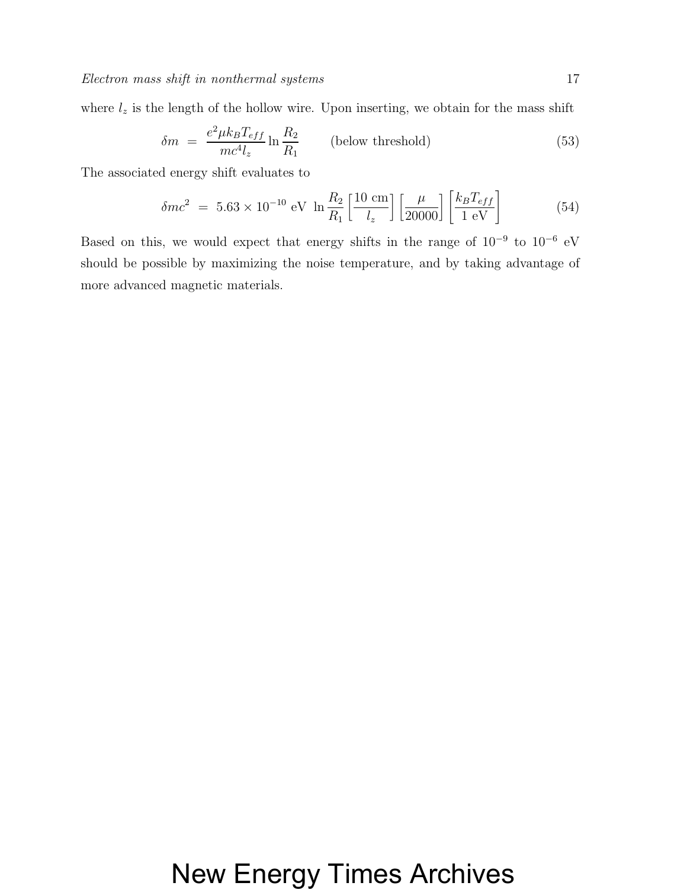where  $l_z$  is the length of the hollow wire. Upon inserting, we obtain for the mass shift

$$
\delta m = \frac{e^2 \mu k_B T_{eff}}{mc^4 l_z} \ln \frac{R_2}{R_1}
$$
 (below threshold) \t(53)

The associated energy shift evaluates to

$$
\delta mc^2 = 5.63 \times 10^{-10} \text{ eV} \ln \frac{R_2}{R_1} \left[ \frac{10 \text{ cm}}{l_z} \right] \left[ \frac{\mu}{20000} \right] \left[ \frac{k_B T_{eff}}{1 \text{ eV}} \right] \tag{54}
$$

Based on this, we would expect that energy shifts in the range of  $10^{-9}$  to  $10^{-6}$  eV should be possible by maximizing the noise temperature, and by taking advantage of more advanced magnetic materials.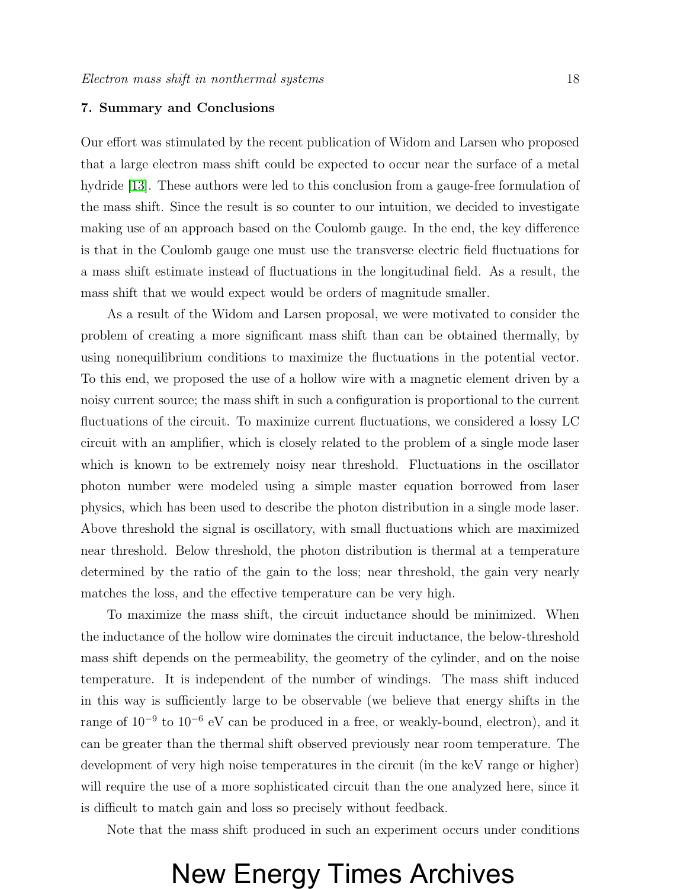#### 7. Summary and Conclusions

Our effort was stimulated by the recent publication of Widom and Larsen who proposed that a large electron mass shift could be expected to occur near the surface of a metal hydride [\[13\]](#page-22-12). These authors were led to this conclusion from a gauge-free formulation of the mass shift. Since the result is so counter to our intuition, we decided to investigate making use of an approach based on the Coulomb gauge. In the end, the key difference is that in the Coulomb gauge one must use the transverse electric field fluctuations for a mass shift estimate instead of fluctuations in the longitudinal field. As a result, the mass shift that we would expect would be orders of magnitude smaller.

As a result of the Widom and Larsen proposal, we were motivated to consider the problem of creating a more significant mass shift than can be obtained thermally, by using nonequilibrium conditions to maximize the fluctuations in the potential vector. To this end, we proposed the use of a hollow wire with a magnetic element driven by a noisy current source; the mass shift in such a configuration is proportional to the current fluctuations of the circuit. To maximize current fluctuations, we considered a lossy LC circuit with an amplifier, which is closely related to the problem of a single mode laser which is known to be extremely noisy near threshold. Fluctuations in the oscillator photon number were modeled using a simple master equation borrowed from laser physics, which has been used to describe the photon distribution in a single mode laser. Above threshold the signal is oscillatory, with small fluctuations which are maximized near threshold. Below threshold, the photon distribution is thermal at a temperature determined by the ratio of the gain to the loss; near threshold, the gain very nearly matches the loss, and the effective temperature can be very high.

To maximize the mass shift, the circuit inductance should be minimized. When the inductance of the hollow wire dominates the circuit inductance, the below-threshold mass shift depends on the permeability, the geometry of the cylinder, and on the noise temperature. It is independent of the number of windings. The mass shift induced in this way is sufficiently large to be observable (we believe that energy shifts in the range of 10<sup>-9</sup> to 10<sup>-6</sup> eV can be produced in a free, or weakly-bound, electron), and it can be greater than the thermal shift observed previously near room temperature. The development of very high noise temperatures in the circuit (in the keV range or higher) will require the use of a more sophisticated circuit than the one analyzed here, since it is difficult to match gain and loss so precisely without feedback.

Note that the mass shift produced in such an experiment occurs under conditions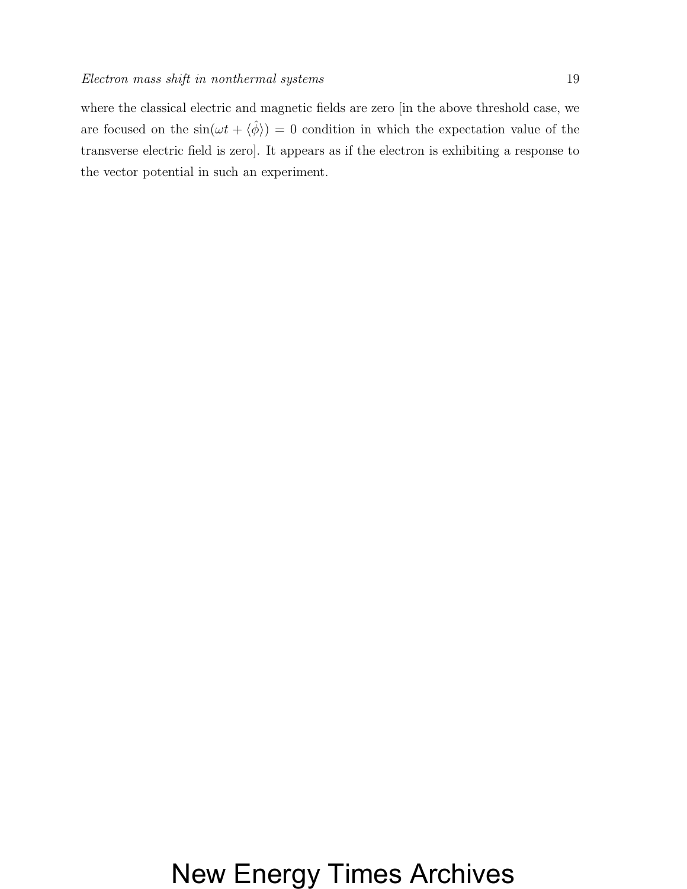where the classical electric and magnetic fields are zero [in the above threshold case, we are focused on the  $sin(\omega t + \langle \hat{\phi} \rangle) = 0$  condition in which the expectation value of the transverse electric field is zero]. It appears as if the electron is exhibiting a response to the vector potential in such an experiment.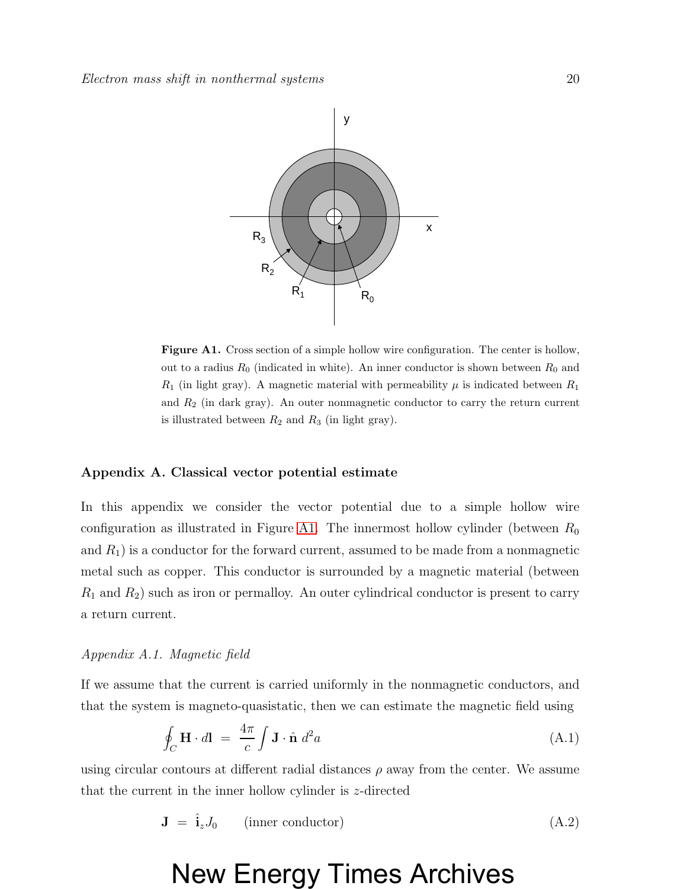

<span id="page-19-0"></span>Figure A1. Cross section of a simple hollow wire configuration. The center is hollow, out to a radius  $R_0$  (indicated in white). An inner conductor is shown between  $R_0$  and  $R_1$  (in light gray). A magnetic material with permeability  $\mu$  is indicated between  $R_1$ and  $R_2$  (in dark gray). An outer nonmagnetic conductor to carry the return current is illustrated between  $R_2$  and  $R_3$  (in light gray).

#### Appendix A. Classical vector potential estimate

In this appendix we consider the vector potential due to a simple hollow wire configuration as illustrated in Figure [A1.](#page-19-0) The innermost hollow cylinder (between  $R_0$ ) and  $R_1$ ) is a conductor for the forward current, assumed to be made from a nonmagnetic metal such as copper. This conductor is surrounded by a magnetic material (between  $R_1$  and  $R_2$ ) such as iron or permalloy. An outer cylindrical conductor is present to carry a return current.

#### Appendix A.1. Magnetic field

If we assume that the current is carried uniformly in the nonmagnetic conductors, and that the system is magneto-quasistatic, then we can estimate the magnetic field using

<span id="page-19-1"></span>
$$
\oint_C \mathbf{H} \cdot d\mathbf{l} = \frac{4\pi}{c} \int \mathbf{J} \cdot \hat{\mathbf{n}} \, d^2 a \tag{A.1}
$$

using circular contours at different radial distances  $\rho$  away from the center. We assume that the current in the inner hollow cylinder is z-directed

 $J = \hat{i}_z J_0$  (inner conductor) (A.2)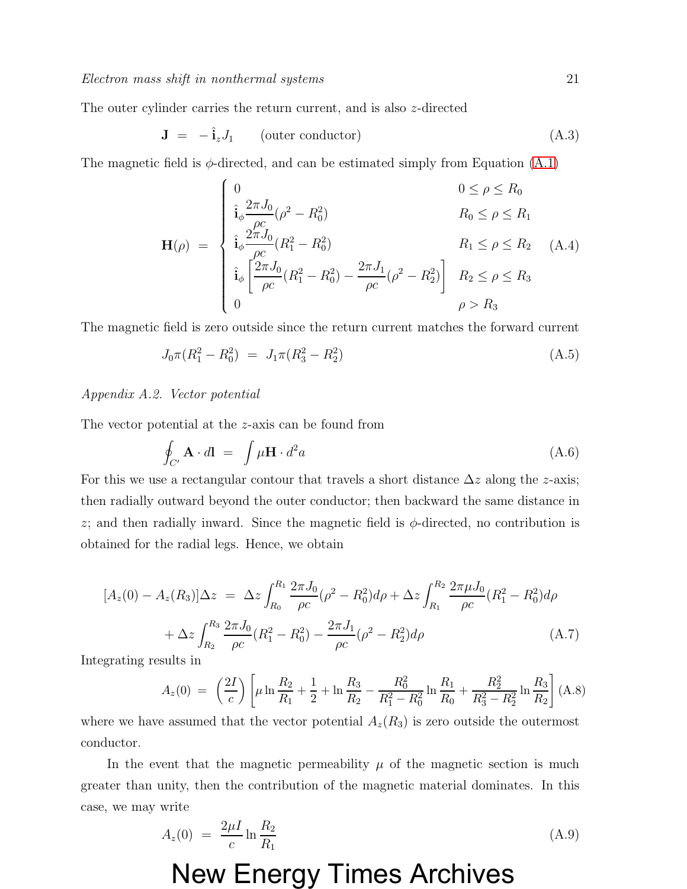The outer cylinder carries the return current, and is also z-directed

$$
\mathbf{J} = -\hat{\mathbf{i}}_z J_1 \qquad \text{(outer conductor)} \tag{A.3}
$$

The magnetic field is  $\phi$ -directed, and can be estimated simply from Equation [\(A.1\)](#page-19-1)

$$
\mathbf{H}(\rho) = \begin{cases}\n0 & 0 \le \rho \le R_0 \\
\hat{\mathbf{i}}_{\phi} \frac{2\pi J_0}{\rho c} (\rho^2 - R_0^2) & R_0 \le \rho \le R_1 \\
\hat{\mathbf{i}}_{\phi} \frac{2\pi J_0}{\rho c} (R_1^2 - R_0^2) & R_1 \le \rho \le R_2 \\
\hat{\mathbf{i}}_{\phi} \left[ \frac{2\pi J_0}{\rho c} (R_1^2 - R_0^2) - \frac{2\pi J_1}{\rho c} (\rho^2 - R_2^2) \right] & R_2 \le \rho \le R_3 \\
0 & \rho > R_3\n\end{cases}
$$
\n(A.4)

The magnetic field is zero outside since the return current matches the forward current

$$
J_0 \pi (R_1^2 - R_0^2) = J_1 \pi (R_3^2 - R_2^2) \tag{A.5}
$$

#### Appendix A.2. Vector potential

The vector potential at the z-axis can be found from

$$
\oint_{C'} \mathbf{A} \cdot d\mathbf{l} = \int \mu \mathbf{H} \cdot d^2 a \tag{A.6}
$$

For this we use a rectangular contour that travels a short distance  $\Delta z$  along the z-axis; then radially outward beyond the outer conductor; then backward the same distance in z; and then radially inward. Since the magnetic field is  $\phi$ -directed, no contribution is obtained for the radial legs. Hence, we obtain

$$
[A_z(0) - A_z(R_3)]\Delta z = \Delta z \int_{R_0}^{R_1} \frac{2\pi J_0}{\rho c} (\rho^2 - R_0^2) d\rho + \Delta z \int_{R_1}^{R_2} \frac{2\pi \mu J_0}{\rho c} (R_1^2 - R_0^2) d\rho
$$

$$
+ \Delta z \int_{R_2}^{R_3} \frac{2\pi J_0}{\rho c} (R_1^2 - R_0^2) - \frac{2\pi J_1}{\rho c} (\rho^2 - R_2^2) d\rho
$$
(A.7)

Integrating results in

$$
A_z(0) = \left(\frac{2I}{c}\right) \left[ \mu \ln \frac{R_2}{R_1} + \frac{1}{2} + \ln \frac{R_3}{R_2} - \frac{R_0^2}{R_1^2 - R_0^2} \ln \frac{R_1}{R_0} + \frac{R_2^2}{R_3^2 - R_2^2} \ln \frac{R_3}{R_2} \right] (A.8)
$$

where we have assumed that the vector potential  $A_z(R_3)$  is zero outside the outermost conductor.

In the event that the magnetic permeability  $\mu$  of the magnetic section is much greater than unity, then the contribution of the magnetic material dominates. In this case, we may write

$$
A_z(0) = \frac{2\mu I}{c} \ln \frac{R_2}{R_1}
$$
 (A.9)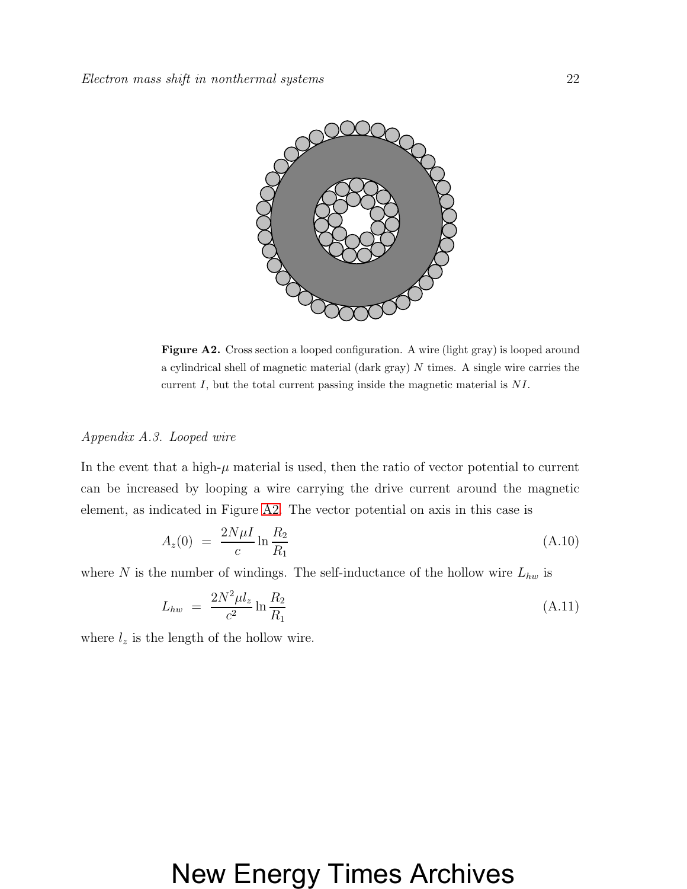

<span id="page-21-0"></span>Figure A2. Cross section a looped configuration. A wire (light gray) is looped around a cylindrical shell of magnetic material (dark gray)  $N$  times. A single wire carries the current  $I$ , but the total current passing inside the magnetic material is  $NI$ .

#### Appendix A.3. Looped wire

In the event that a high- $\mu$  material is used, then the ratio of vector potential to current can be increased by looping a wire carrying the drive current around the magnetic element, as indicated in Figure [A2.](#page-21-0) The vector potential on axis in this case is

$$
A_z(0) = \frac{2N\mu I}{c} \ln \frac{R_2}{R_1}
$$
 (A.10)

where N is the number of windings. The self-inductance of the hollow wire  $L_{hw}$  is

$$
L_{hw} = \frac{2N^2\mu l_z}{c^2} \ln \frac{R_2}{R_1}
$$
\n(A.11)

where  $l_z$  is the length of the hollow wire.